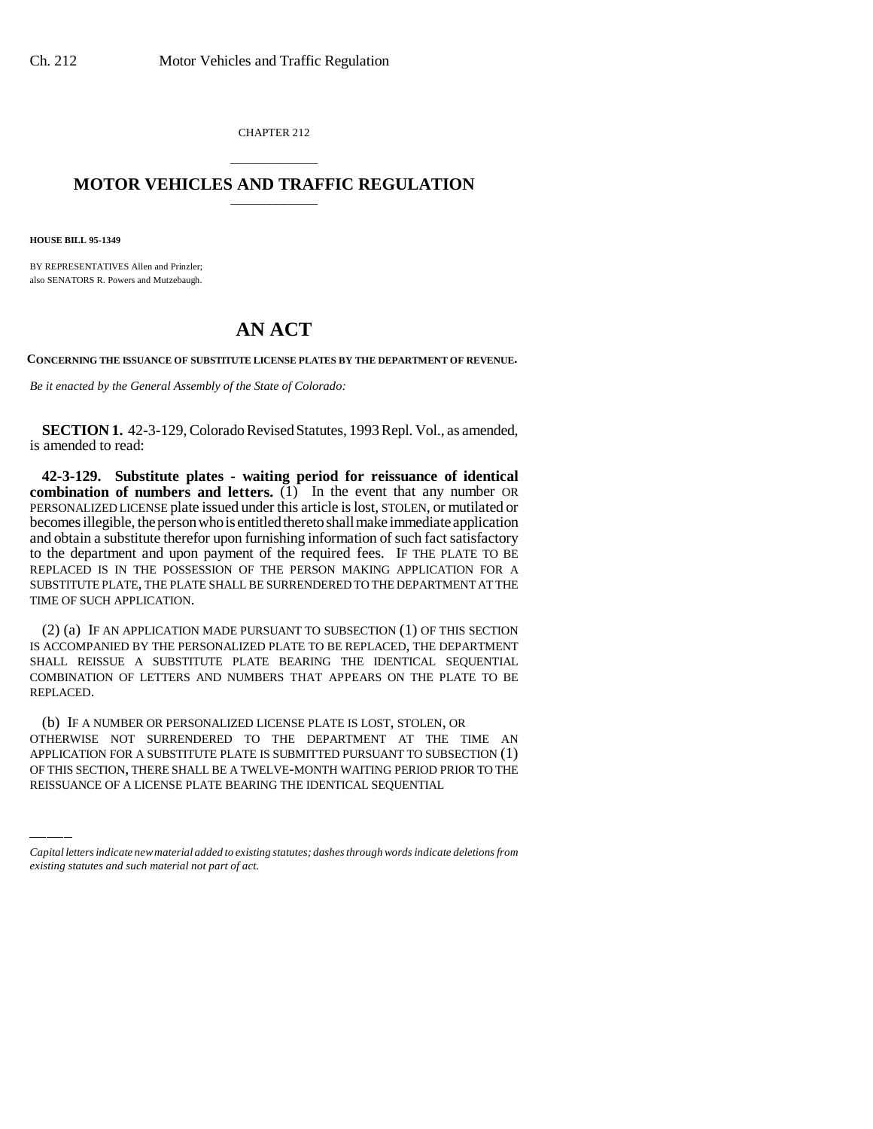CHAPTER 212

## \_\_\_\_\_\_\_\_\_\_\_\_\_\_\_ **MOTOR VEHICLES AND TRAFFIC REGULATION** \_\_\_\_\_\_\_\_\_\_\_\_\_\_\_

**HOUSE BILL 95-1349**

BY REPRESENTATIVES Allen and Prinzler; also SENATORS R. Powers and Mutzebaugh.

## **AN ACT**

**CONCERNING THE ISSUANCE OF SUBSTITUTE LICENSE PLATES BY THE DEPARTMENT OF REVENUE.**

*Be it enacted by the General Assembly of the State of Colorado:*

**SECTION 1.** 42-3-129, Colorado Revised Statutes, 1993 Repl. Vol., as amended, is amended to read:

**42-3-129. Substitute plates - waiting period for reissuance of identical combination of numbers and letters.** (1) In the event that any number OR PERSONALIZED LICENSE plate issued under this article is lost, STOLEN, or mutilated or becomes illegible, the person who is entitled thereto shall make immediate application and obtain a substitute therefor upon furnishing information of such fact satisfactory to the department and upon payment of the required fees. IF THE PLATE TO BE REPLACED IS IN THE POSSESSION OF THE PERSON MAKING APPLICATION FOR A SUBSTITUTE PLATE, THE PLATE SHALL BE SURRENDERED TO THE DEPARTMENT AT THE TIME OF SUCH APPLICATION.

(2) (a) IF AN APPLICATION MADE PURSUANT TO SUBSECTION (1) OF THIS SECTION IS ACCOMPANIED BY THE PERSONALIZED PLATE TO BE REPLACED, THE DEPARTMENT SHALL REISSUE A SUBSTITUTE PLATE BEARING THE IDENTICAL SEQUENTIAL COMBINATION OF LETTERS AND NUMBERS THAT APPEARS ON THE PLATE TO BE REPLACED.

(U) IF A NUMBER OR PERSONALIZED LICENSE PLATE IS LOST, STOLEN, OR<br>OTHERWISE NOT SURRENDERED TO THE DEPARTMENT AT THE TIME AN (b) IF A NUMBER OR PERSONALIZED LICENSE PLATE IS LOST, STOLEN, OR APPLICATION FOR A SUBSTITUTE PLATE IS SUBMITTED PURSUANT TO SUBSECTION (1) OF THIS SECTION, THERE SHALL BE A TWELVE-MONTH WAITING PERIOD PRIOR TO THE REISSUANCE OF A LICENSE PLATE BEARING THE IDENTICAL SEQUENTIAL

*Capital letters indicate new material added to existing statutes; dashes through words indicate deletions from existing statutes and such material not part of act.*